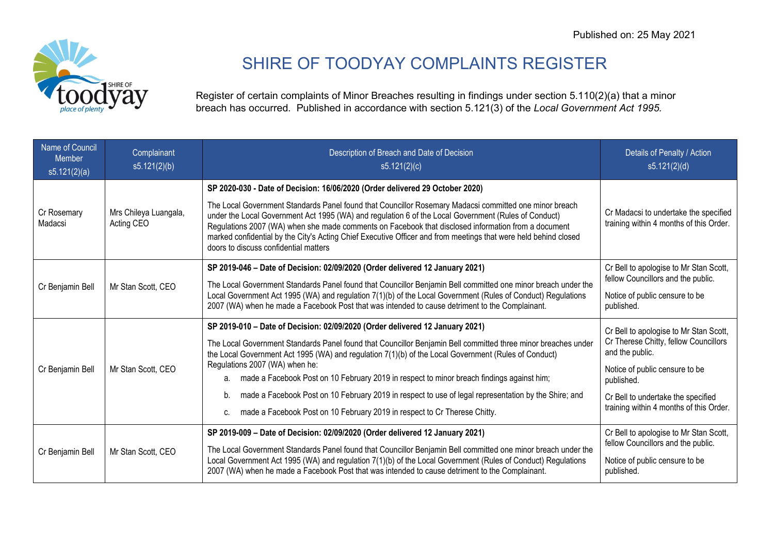

## SHIRE OF TOODYAY COMPLAINTS REGISTER

Register of certain complaints of Minor Breaches resulting in findings under section 5.110(2)(a) that a minor breach has occurred. Published in accordance with section 5.121(3) of the *Local Government Act 1995.*

| Name of Council<br><b>Member</b><br>s5.121(2)(a) | Complainant<br>s5.121(2)(b)         | Description of Breach and Date of Decision<br>s5.121(2)(c)                                                                                                                                                                                                                                                                                                                                                                                                                                                                                                                                                                               | Details of Penalty / Action<br>s5.121(2)(d)                                                                                                                                                                                         |
|--------------------------------------------------|-------------------------------------|------------------------------------------------------------------------------------------------------------------------------------------------------------------------------------------------------------------------------------------------------------------------------------------------------------------------------------------------------------------------------------------------------------------------------------------------------------------------------------------------------------------------------------------------------------------------------------------------------------------------------------------|-------------------------------------------------------------------------------------------------------------------------------------------------------------------------------------------------------------------------------------|
| Cr Rosemary<br>Madacsi                           | Mrs Chileya Luangala,<br>Acting CEO | SP 2020-030 - Date of Decision: 16/06/2020 (Order delivered 29 October 2020)<br>The Local Government Standards Panel found that Councillor Rosemary Madacsi committed one minor breach<br>under the Local Government Act 1995 (WA) and regulation 6 of the Local Government (Rules of Conduct)<br>Regulations 2007 (WA) when she made comments on Facebook that disclosed information from a document<br>marked confidential by the City's Acting Chief Executive Officer and from meetings that were held behind closed<br>doors to discuss confidential matters                                                                        | Cr Madacsi to undertake the specified<br>training within 4 months of this Order.                                                                                                                                                    |
| Cr Benjamin Bell                                 | Mr Stan Scott, CEO                  | SP 2019-046 - Date of Decision: 02/09/2020 (Order delivered 12 January 2021)<br>The Local Government Standards Panel found that Councillor Benjamin Bell committed one minor breach under the<br>Local Government Act 1995 (WA) and regulation 7(1)(b) of the Local Government (Rules of Conduct) Regulations<br>2007 (WA) when he made a Facebook Post that was intended to cause detriment to the Complainant.                                                                                                                                                                                                                         | Cr Bell to apologise to Mr Stan Scott,<br>fellow Councillors and the public.<br>Notice of public censure to be<br>published.                                                                                                        |
| Cr Benjamin Bell                                 | Mr Stan Scott, CEO                  | SP 2019-010 - Date of Decision: 02/09/2020 (Order delivered 12 January 2021)<br>The Local Government Standards Panel found that Councillor Benjamin Bell committed three minor breaches under<br>the Local Government Act 1995 (WA) and regulation 7(1)(b) of the Local Government (Rules of Conduct)<br>Regulations 2007 (WA) when he:<br>a. made a Facebook Post on 10 February 2019 in respect to minor breach findings against him;<br>made a Facebook Post on 10 February 2019 in respect to use of legal representation by the Shire; and<br>b.<br>made a Facebook Post on 10 February 2019 in respect to Cr Therese Chitty.<br>C. | Cr Bell to apologise to Mr Stan Scott,<br>Cr Therese Chitty, fellow Councillors<br>and the public.<br>Notice of public censure to be<br>published.<br>Cr Bell to undertake the specified<br>training within 4 months of this Order. |
| Cr Benjamin Bell                                 | Mr Stan Scott, CEO                  | SP 2019-009 - Date of Decision: 02/09/2020 (Order delivered 12 January 2021)<br>The Local Government Standards Panel found that Councillor Benjamin Bell committed one minor breach under the<br>Local Government Act 1995 (WA) and regulation 7(1)(b) of the Local Government (Rules of Conduct) Regulations<br>2007 (WA) when he made a Facebook Post that was intended to cause detriment to the Complainant.                                                                                                                                                                                                                         | Cr Bell to apologise to Mr Stan Scott,<br>fellow Councillors and the public.<br>Notice of public censure to be<br>published.                                                                                                        |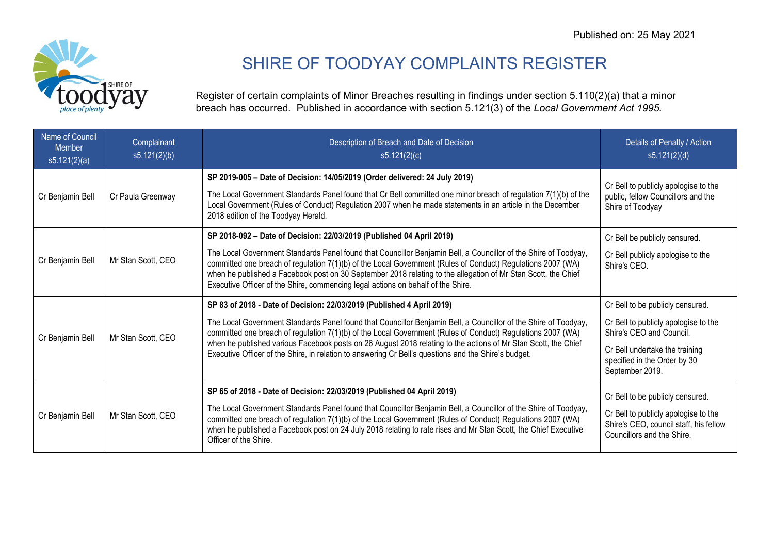

## SHIRE OF TOODYAY COMPLAINTS REGISTER

Register of certain complaints of Minor Breaches resulting in findings under section 5.110(2)(a) that a minor breach has occurred. Published in accordance with section 5.121(3) of the *Local Government Act 1995.*

| Name of Council<br><b>Member</b><br>s5.121(2)(a) | Complainant<br>s5.121(2)(b) | Description of Breach and Date of Decision<br>s5.121(2)(c)                                                                                                                                                                                                                                                                                                                                                                                                                                                                        | Details of Penalty / Action<br>s5.121(2)(d)                                                                                                                                               |
|--------------------------------------------------|-----------------------------|-----------------------------------------------------------------------------------------------------------------------------------------------------------------------------------------------------------------------------------------------------------------------------------------------------------------------------------------------------------------------------------------------------------------------------------------------------------------------------------------------------------------------------------|-------------------------------------------------------------------------------------------------------------------------------------------------------------------------------------------|
| Cr Benjamin Bell                                 | Cr Paula Greenway           | SP 2019-005 - Date of Decision: 14/05/2019 (Order delivered: 24 July 2019)<br>The Local Government Standards Panel found that Cr Bell committed one minor breach of regulation 7(1)(b) of the<br>Local Government (Rules of Conduct) Regulation 2007 when he made statements in an article in the December<br>2018 edition of the Toodyay Herald.                                                                                                                                                                                 | Cr Bell to publicly apologise to the<br>public, fellow Councillors and the<br>Shire of Toodyay                                                                                            |
| Cr Benjamin Bell                                 | Mr Stan Scott, CEO          | SP 2018-092 - Date of Decision: 22/03/2019 (Published 04 April 2019)<br>The Local Government Standards Panel found that Councillor Benjamin Bell, a Councillor of the Shire of Toodyay,<br>committed one breach of regulation 7(1)(b) of the Local Government (Rules of Conduct) Regulations 2007 (WA)<br>when he published a Facebook post on 30 September 2018 relating to the allegation of Mr Stan Scott, the Chief<br>Executive Officer of the Shire, commencing legal actions on behalf of the Shire.                       | Cr Bell be publicly censured.<br>Cr Bell publicly apologise to the<br>Shire's CEO.                                                                                                        |
| Cr Benjamin Bell                                 | Mr Stan Scott, CEO          | SP 83 of 2018 - Date of Decision: 22/03/2019 (Published 4 April 2019)<br>The Local Government Standards Panel found that Councillor Benjamin Bell, a Councillor of the Shire of Toodyay,<br>committed one breach of regulation 7(1)(b) of the Local Government (Rules of Conduct) Regulations 2007 (WA)<br>when he published various Facebook posts on 26 August 2018 relating to the actions of Mr Stan Scott, the Chief<br>Executive Officer of the Shire, in relation to answering Cr Bell's questions and the Shire's budget. | Cr Bell to be publicly censured.<br>Cr Bell to publicly apologise to the<br>Shire's CEO and Council.<br>Cr Bell undertake the training<br>specified in the Order by 30<br>September 2019. |
| Cr Benjamin Bell                                 | Mr Stan Scott, CEO          | SP 65 of 2018 - Date of Decision: 22/03/2019 (Published 04 April 2019)<br>The Local Government Standards Panel found that Councillor Benjamin Bell, a Councillor of the Shire of Toodyay,<br>committed one breach of regulation 7(1)(b) of the Local Government (Rules of Conduct) Regulations 2007 (WA)<br>when he published a Facebook post on 24 July 2018 relating to rate rises and Mr Stan Scott, the Chief Executive<br>Officer of the Shire.                                                                              | Cr Bell to be publicly censured.<br>Cr Bell to publicly apologise to the<br>Shire's CEO, council staff, his fellow<br>Councillors and the Shire.                                          |